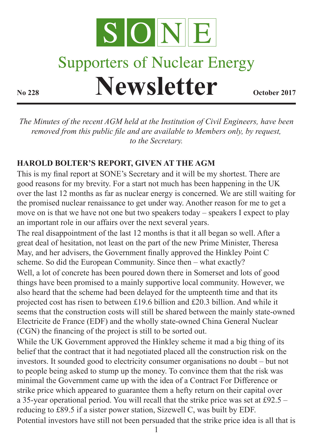

## **Supporters of Nuclear Energy Newsletter October 2017**

*The Minutes of the recent AGM held at the Institution of Civil Engineers, have been removed from this public file and are available to Members only, by request, to the Secretary.*

## **HAROLD BOLTER'S REPORT, GIVEN AT THE AGM**

This is my final report at SONE's Secretary and it will be my shortest. There are good reasons for my brevity. For a start not much has been happening in the UK over the last 12 months as far as nuclear energy is concerned. We are still waiting for the promised nuclear renaissance to get under way. Another reason for me to get a move on is that we have not one but two speakers today – speakers I expect to play an important role in our affairs over the next several years.

The real disappointment of the last 12 months is that it all began so well. After a great deal of hesitation, not least on the part of the new Prime Minister, Theresa May, and her advisers, the Government finally approved the Hinkley Point C scheme. So did the European Community. Since then – what exactly?

Well, a lot of concrete has been poured down there in Somerset and lots of good things have been promised to a mainly supportive local community. However, we also heard that the scheme had been delayed for the umpteenth time and that its projected cost has risen to between £19.6 billion and £20.3 billion. And while it seems that the construction costs will still be shared between the mainly state-owned Electricite de France (EDF) and the wholly state-owned China General Nuclear (CGN) the financing of the project is still to be sorted out.

While the UK Government approved the Hinkley scheme it mad a big thing of its belief that the contract that it had negotiated placed all the construction risk on the investors. It sounded good to electricity consumer organisations no doubt – but not to people being asked to stump up the money. To convince them that the risk was minimal the Government came up with the idea of a Contract For Difference or strike price which appeared to guarantee them a hefty return on their capital over a 35-year operational period. You will recall that the strike price was set at £92.5 – reducing to £89.5 if a sister power station, Sizewell C, was built by EDF. Potential investors have still not been persuaded that the strike price idea is all that is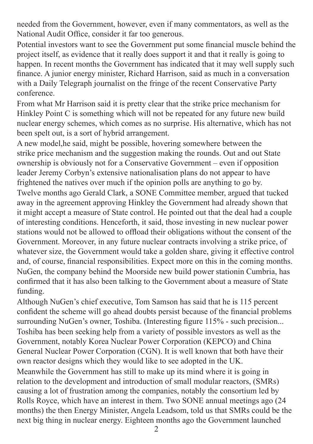needed from the Government, however, even if many commentators, as well as the National Audit Office, consider it far too generous.

Potential investors want to see the Government put some financial muscle behind the project itself, as evidence that it really does support it and that it really is going to happen. In recent months the Government has indicated that it may well supply such finance. A junior energy minister, Richard Harrison, said as much in a conversation with a Daily Telegraph journalist on the fringe of the recent Conservative Party conference.

From what Mr Harrison said it is pretty clear that the strike price mechanism for Hinkley Point C is something which will not be repeated for any future new build nuclear energy schemes, which comes as no surprise. His alternative, which has not been spelt out, is a sort of hybrid arrangement.

A new model,he said, might be possible, hovering somewhere between the strike price mechanism and the suggestion making the rounds. Out and out State ownership is obviously not for a Conservative Government – even if opposition leader Jeremy Corbyn's extensive nationalisation plans do not appear to have frightened the natives over much if the opinion polls are anything to go by. Twelve months ago Gerald Clark, a SONE Committee member, argued that tucked away in the agreement approving Hinkley the Government had already shown that it might accept a measure of State control. He pointed out that the deal had a couple of interesting conditions. Henceforth, it said, those investing in new nuclear power stations would not be allowed to offload their obligations without the consent of the Government. Moreover, in any future nuclear contracts involving a strike price, of whatever size, the Government would take a golden share, giving it effective control and, of course, financial responsibilities. Expect more on this in the coming months. NuGen, the company behind the Moorside new build power stationin Cumbria, has confirmed that it has also been talking to the Government about a measure of State funding.

Although NuGen's chief executive, Tom Samson has said that he is 115 percent confident the scheme will go ahead doubts persist because of the financial problems surrounding NuGen's owner, Toshiba. (Interesting figure 115% - such precision... Toshiba has been seeking help from a variety of possible investors as well as the Government, notably Korea Nuclear Power Corporation (KEPCO) and China General Nuclear Power Corporation (CGN). It is well known that both have their own reactor designs which they would like to see adopted in the UK. Meanwhile the Government has still to make up its mind where it is going in relation to the development and introduction of small modular reactors, (SMRs) causing a lot of frustration among the companies, notably the consortium led by Rolls Royce, which have an interest in them. Two SONE annual meetings ago (24 months) the then Energy Minister, Angela Leadsom, told us that SMRs could be the next big thing in nuclear energy. Eighteen months ago the Government launched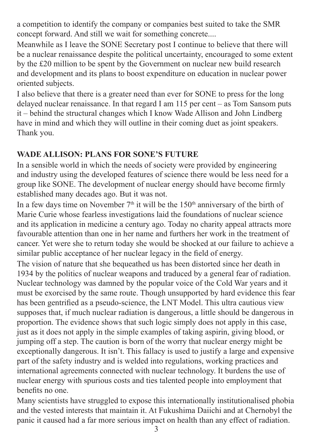a competition to identify the company or companies best suited to take the SMR concept forward. And still we wait for something concrete....

Meanwhile as I leave the SONE Secretary post I continue to believe that there will be a nuclear renaissance despite the political uncertainty, encouraged to some extent by the £20 million to be spent by the Government on nuclear new build research and development and its plans to boost expenditure on education in nuclear power oriented subjects.

I also believe that there is a greater need than ever for SONE to press for the long delayed nuclear renaissance. In that regard I am 115 per cent – as Tom Sansom puts it – behind the structural changes which I know Wade Allison and John Lindberg have in mind and which they will outline in their coming duet as joint speakers. Thank you.

## **WADE ALLISON: PLANS FOR SONE'S FUTURE**

In a sensible world in which the needs of society were provided by engineering and industry using the developed features of science there would be less need for a group like SONE. The development of nuclear energy should have become firmly established many decades ago. But it was not.

In a few days time on November  $7<sup>th</sup>$  it will be the 150<sup>th</sup> anniversary of the birth of Marie Curie whose fearless investigations laid the foundations of nuclear science and its application in medicine a century ago. Today no charity appeal attracts more favourable attention than one in her name and furthers her work in the treatment of cancer. Yet were she to return today she would be shocked at our failure to achieve a similar public acceptance of her nuclear legacy in the field of energy.

The vision of nature that she bequeathed us has been distorted since her death in 1934 by the politics of nuclear weapons and traduced by a general fear of radiation. Nuclear technology was damned by the popular voice of the Cold War years and it must be exorcised by the same route. Though unsupported by hard evidence this fear has been gentrified as a pseudo-science, the LNT Model. This ultra cautious view supposes that, if much nuclear radiation is dangerous, a little should be dangerous in proportion. The evidence shows that such logic simply does not apply in this case, just as it does not apply in the simple examples of taking aspirin, giving blood, or jumping off a step. The caution is born of the worry that nuclear energy might be exceptionally dangerous. It isn't. This fallacy is used to justify a large and expensive part of the safety industry and is welded into regulations, working practices and international agreements connected with nuclear technology. It burdens the use of nuclear energy with spurious costs and ties talented people into employment that benefits no one.

Many scientists have struggled to expose this internationally institutionalised phobia and the vested interests that maintain it. At Fukushima Daiichi and at Chernobyl the panic it caused had a far more serious impact on health than any effect of radiation.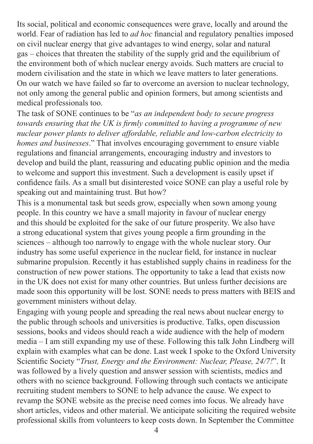Its social, political and economic consequences were grave, locally and around the world. Fear of radiation has led to *ad hoc* financial and regulatory penalties imposed on civil nuclear energy that give advantages to wind energy, solar and natural gas – choices that threaten the stability of the supply grid and the equilibrium of the environment both of which nuclear energy avoids. Such matters are crucial to modern civilisation and the state in which we leave matters to later generations. On our watch we have failed so far to overcome an aversion to nuclear technology, not only among the general public and opinion formers, but among scientists and medical professionals too.

The task of SONE continues to be "*as an independent body to secure progress towards ensuring that the UK is firmly committed to having a programme of new nuclear power plants to deliver affordable, reliable and low-carbon electricity to homes and businesses*." That involves encouraging government to ensure viable regulations and financial arrangements, encouraging industry and investors to develop and build the plant, reassuring and educating public opinion and the media to welcome and support this investment. Such a development is easily upset if confidence fails. As a small but disinterested voice SONE can play a useful role by speaking out and maintaining trust. But how?

This is a monumental task but seeds grow, especially when sown among young people. In this country we have a small majority in favour of nuclear energy and this should be exploited for the sake of our future prosperity. We also have a strong educational system that gives young people a firm grounding in the sciences – although too narrowly to engage with the whole nuclear story. Our industry has some useful experience in the nuclear field, for instance in nuclear submarine propulsion. Recently it has established supply chains in readiness for the construction of new power stations. The opportunity to take a lead that exists now in the UK does not exist for many other countries. But unless further decisions are made soon this opportunity will be lost. SONE needs to press matters with BEIS and government ministers without delay.

Engaging with young people and spreading the real news about nuclear energy to the public through schools and universities is productive. Talks, open discussion sessions, books and videos should reach a wide audience with the help of modern media – I am still expanding my use of these. Following this talk John Lindberg will explain with examples what can be done. Last week I spoke to the Oxford University Scientific Society "*Trust, Energy and the Environment: Nuclear, Please, 24/7!*". It was followed by a lively question and answer session with scientists, medics and others with no science background. Following through such contacts we anticipate recruiting student members to SONE to help advance the cause. We expect to revamp the SONE website as the precise need comes into focus. We already have short articles, videos and other material. We anticipate soliciting the required website professional skills from volunteers to keep costs down. In September the Committee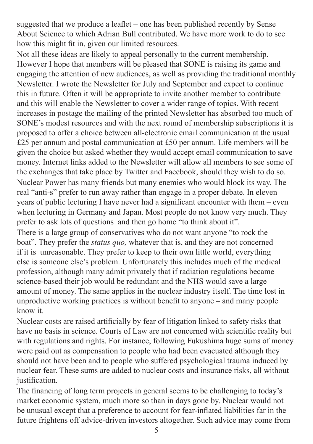suggested that we produce a leaflet – one has been published recently by Sense About Science to which Adrian Bull contributed. We have more work to do to see how this might fit in, given our limited resources.

Not all these ideas are likely to appeal personally to the current membership. However I hope that members will be pleased that SONE is raising its game and engaging the attention of new audiences, as well as providing the traditional monthly Newsletter. I wrote the Newsletter for July and September and expect to continue this in future. Often it will be appropriate to invite another member to contribute and this will enable the Newsletter to cover a wider range of topics. With recent increases in postage the mailing of the printed Newsletter has absorbed too much of SONE's modest resources and with the next round of membership subscriptions it is proposed to offer a choice between all-electronic email communication at the usual £25 per annum and postal communication at £50 per annum. Life members will be given the choice but asked whether they would accept email communication to save money. Internet links added to the Newsletter will allow all members to see some of the exchanges that take place by Twitter and Facebook, should they wish to do so. Nuclear Power has many friends but many enemies who would block its way. The real "anti-s" prefer to run away rather than engage in a proper debate. In eleven years of public lecturing I have never had a significant encounter with them – even when lecturing in Germany and Japan. Most people do not know very much. They prefer to ask lots of questions and then go home "to think about it".

There is a large group of conservatives who do not want anyone "to rock the boat". They prefer the *status quo,* whatever that is, and they are not concerned if it is unreasonable. They prefer to keep to their own little world, everything else is someone else's problem. Unfortunately this includes much of the medical profession, although many admit privately that if radiation regulations became science-based their job would be redundant and the NHS would save a large amount of money. The same applies in the nuclear industry itself. The time lost in unproductive working practices is without benefit to anyone – and many people know it.

Nuclear costs are raised artificially by fear of litigation linked to safety risks that have no basis in science. Courts of Law are not concerned with scientific reality but with regulations and rights. For instance, following Fukushima huge sums of money were paid out as compensation to people who had been evacuated although they should not have been and to people who suffered psychological trauma induced by nuclear fear. These sums are added to nuclear costs and insurance risks, all without justification.

The financing of long term projects in general seems to be challenging to today's market economic system, much more so than in days gone by. Nuclear would not be unusual except that a preference to account for fear-inflated liabilities far in the future frightens off advice-driven investors altogether. Such advice may come from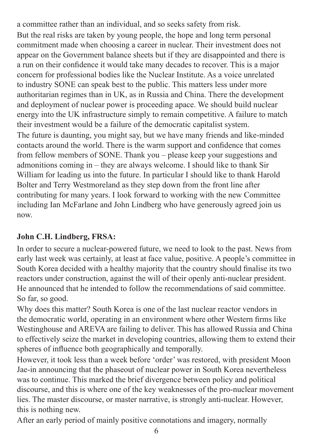a committee rather than an individual, and so seeks safety from risk. But the real risks are taken by young people, the hope and long term personal commitment made when choosing a career in nuclear. Their investment does not appear on the Government balance sheets but if they are disappointed and there is a run on their confidence it would take many decades to recover. This is a major concern for professional bodies like the Nuclear Institute. As a voice unrelated to industry SONE can speak best to the public. This matters less under more authoritarian regimes than in UK, as in Russia and China. There the development and deployment of nuclear power is proceeding apace. We should build nuclear energy into the UK infrastructure simply to remain competitive. A failure to match their investment would be a failure of the democratic capitalist system. The future is daunting, you might say, but we have many friends and like-minded contacts around the world. There is the warm support and confidence that comes from fellow members of SONE. Thank you – please keep your suggestions and admonitions coming in – they are always welcome. I should like to thank Sir William for leading us into the future. In particular I should like to thank Harold Bolter and Terry Westmoreland as they step down from the front line after contributing for many years. I look forward to working with the new Committee including Ian McFarlane and John Lindberg who have generously agreed join us now.

## **John C.H. Lindberg, FRSA:**

In order to secure a nuclear-powered future, we need to look to the past. News from early last week was certainly, at least at face value, positive. A people's committee in South Korea decided with a healthy majority that the country should finalise its two reactors under construction, against the will of their openly anti-nuclear president. He announced that he intended to follow the recommendations of said committee. So far, so good.

Why does this matter? South Korea is one of the last nuclear reactor vendors in the democratic world, operating in an environment where other Western firms like Westinghouse and AREVA are failing to deliver. This has allowed Russia and China to effectively seize the market in developing countries, allowing them to extend their spheres of influence both geographically and temporally.

However, it took less than a week before 'order' was restored, with president Moon Jae-in announcing that the phaseout of nuclear power in South Korea nevertheless was to continue. This marked the brief divergence between policy and political discourse, and this is where one of the key weaknesses of the pro-nuclear movement lies. The master discourse, or master narrative, is strongly anti-nuclear. However, this is nothing new.

After an early period of mainly positive connotations and imagery, normally